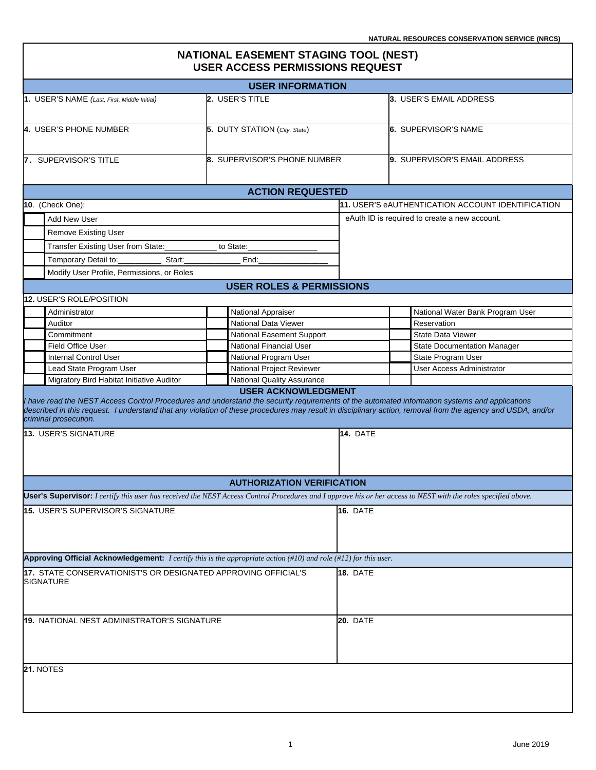$\overline{\mathbf{1}}$ 

| <b>NATIONAL EASEMENT STAGING TOOL (NEST)</b><br><b>USER ACCESS PERMISSIONS REQUEST</b>                                                                                                                                                                                                                                                                       |                                                                 |                           |                                                   |  |  |
|--------------------------------------------------------------------------------------------------------------------------------------------------------------------------------------------------------------------------------------------------------------------------------------------------------------------------------------------------------------|-----------------------------------------------------------------|---------------------------|---------------------------------------------------|--|--|
|                                                                                                                                                                                                                                                                                                                                                              | <b>USER INFORMATION</b>                                         |                           |                                                   |  |  |
| 1. USER'S NAME (Last, First, Middle Initial)                                                                                                                                                                                                                                                                                                                 | 2. USER'S TITLE                                                 |                           | 3. USER'S EMAIL ADDRESS                           |  |  |
| 4. USER'S PHONE NUMBER                                                                                                                                                                                                                                                                                                                                       | 5. DUTY STATION (City, State)                                   |                           | 6. SUPERVISOR'S NAME                              |  |  |
| 8. SUPERVISOR'S PHONE NUMBER<br>7. SUPERVISOR'S TITLE                                                                                                                                                                                                                                                                                                        |                                                                 |                           | 9. SUPERVISOR'S EMAIL ADDRESS                     |  |  |
|                                                                                                                                                                                                                                                                                                                                                              | <b>ACTION REQUESTED</b>                                         |                           |                                                   |  |  |
| 10. (Check One):                                                                                                                                                                                                                                                                                                                                             |                                                                 |                           | 11. USER'S eAUTHENTICATION ACCOUNT IDENTIFICATION |  |  |
| <b>Add New User</b>                                                                                                                                                                                                                                                                                                                                          |                                                                 |                           | eAuth ID is required to create a new account.     |  |  |
| <b>Remove Existing User</b>                                                                                                                                                                                                                                                                                                                                  |                                                                 |                           |                                                   |  |  |
| Transfer Existing User from State:                                                                                                                                                                                                                                                                                                                           | to State:                                                       |                           |                                                   |  |  |
|                                                                                                                                                                                                                                                                                                                                                              |                                                                 |                           |                                                   |  |  |
| Temporary Detail to:<br>Start:                                                                                                                                                                                                                                                                                                                               | End:                                                            |                           |                                                   |  |  |
| Modify User Profile, Permissions, or Roles                                                                                                                                                                                                                                                                                                                   |                                                                 |                           |                                                   |  |  |
|                                                                                                                                                                                                                                                                                                                                                              | <b>USER ROLES &amp; PERMISSIONS</b>                             |                           |                                                   |  |  |
| <b>12. USER'S ROLE/POSITION</b>                                                                                                                                                                                                                                                                                                                              |                                                                 |                           |                                                   |  |  |
| Administrator                                                                                                                                                                                                                                                                                                                                                | National Appraiser                                              |                           | National Water Bank Program User                  |  |  |
| Auditor                                                                                                                                                                                                                                                                                                                                                      | National Data Viewer                                            |                           | Reservation<br><b>State Data Viewer</b>           |  |  |
| Commitment                                                                                                                                                                                                                                                                                                                                                   |                                                                 | National Easement Support |                                                   |  |  |
| <b>Field Office User</b>                                                                                                                                                                                                                                                                                                                                     | National Financial User                                         |                           | <b>State Documentation Manager</b>                |  |  |
| <b>Internal Control User</b>                                                                                                                                                                                                                                                                                                                                 | National Program User                                           |                           | State Program User                                |  |  |
| Lead State Program User                                                                                                                                                                                                                                                                                                                                      | National Project Reviewer                                       |                           | <b>User Access Administrator</b>                  |  |  |
| Migratory Bird Habitat Initiative Auditor                                                                                                                                                                                                                                                                                                                    | <b>National Quality Assurance</b><br><b>USER ACKNOWLEDGMENT</b> |                           |                                                   |  |  |
| I have read the NEST Access Control Procedures and understand the security requirements of the automated information systems and applications<br>described in this request. I understand that any violation of these procedures may result in disciplinary action, removal from the agency and USDA, and/or<br>criminal prosecution.<br>13. USER'S SIGNATURE |                                                                 | 14. DATE                  |                                                   |  |  |
|                                                                                                                                                                                                                                                                                                                                                              | <b>AUTHORIZATION VERIFICATION</b>                               |                           |                                                   |  |  |
| User's Supervisor: I certify this user has received the NEST Access Control Procedures and I approve his or her access to NEST with the roles specified above.                                                                                                                                                                                               |                                                                 |                           |                                                   |  |  |
|                                                                                                                                                                                                                                                                                                                                                              |                                                                 | 16. DATE                  |                                                   |  |  |
| 15. USER'S SUPERVISOR'S SIGNATURE                                                                                                                                                                                                                                                                                                                            |                                                                 |                           |                                                   |  |  |
| Approving Official Acknowledgement: I certify this is the appropriate action (#10) and role (#12) for this user.                                                                                                                                                                                                                                             |                                                                 |                           |                                                   |  |  |
| 17. STATE CONSERVATIONIST'S OR DESIGNATED APPROVING OFFICIAL'S<br><b>SIGNATURE</b>                                                                                                                                                                                                                                                                           |                                                                 | 18. DATE                  |                                                   |  |  |
| 19. NATIONAL NEST ADMINISTRATOR'S SIGNATURE                                                                                                                                                                                                                                                                                                                  |                                                                 | <b>20. DATE</b>           |                                                   |  |  |
|                                                                                                                                                                                                                                                                                                                                                              |                                                                 |                           |                                                   |  |  |
| 21. NOTES                                                                                                                                                                                                                                                                                                                                                    |                                                                 |                           |                                                   |  |  |
|                                                                                                                                                                                                                                                                                                                                                              |                                                                 |                           |                                                   |  |  |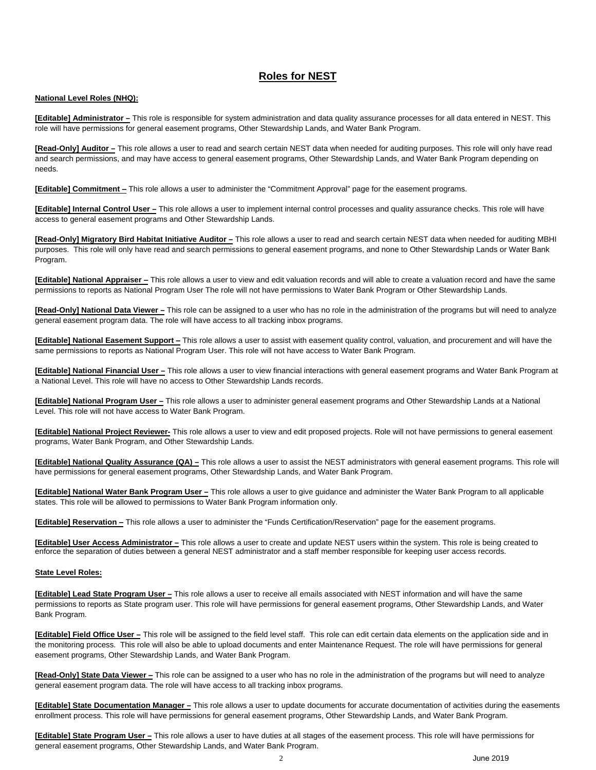## **Roles for NEST**

#### **National Level Roles (NHQ):**

**[Editable] Administrator –** This role is responsible for system administration and data quality assurance processes for all data entered in NEST. This role will have permissions for general easement programs, Other Stewardship Lands, and Water Bank Program.

**[Read-Only] Auditor –** This role allows a user to read and search certain NEST data when needed for auditing purposes. This role will only have read and search permissions, and may have access to general easement programs, Other Stewardship Lands, and Water Bank Program depending on needs.

**[Editable] Commitment –** This role allows a user to administer the "Commitment Approval" page for the easement programs.

**[Editable] Internal Control User –** This role allows a user to implement internal control processes and quality assurance checks. This role will have access to general easement programs and Other Stewardship Lands.

**[Read-Only] Migratory Bird Habitat Initiative Auditor –** This role allows a user to read and search certain NEST data when needed for auditing MBHI purposes. This role will only have read and search permissions to general easement programs, and none to Other Stewardship Lands or Water Bank Program.

**[Editable] National Appraiser –** This role allows a user to view and edit valuation records and will able to create a valuation record and have the same permissions to reports as National Program User The role will not have permissions to Water Bank Program or Other Stewardship Lands.

**[Read-Only] National Data Viewer –** This role can be assigned to a user who has no role in the administration of the programs but will need to analyze general easement program data. The role will have access to all tracking inbox programs.

**[Editable] National Easement Support** - This role allows a user to assist with easement quality control, valuation, and procurement and will have the same permissions to reports as National Program User. This role will not have access to Water Bank Program.

**[Editable] National Financial User –** This role allows a user to view financial interactions with general easement programs and Water Bank Program at a National Level. This role will have no access to Other Stewardship Lands records.

**[Editable] National Program User –** This role allows a user to administer general easement programs and Other Stewardship Lands at a National Level. This role will not have access to Water Bank Program.

**[Editable] National Project Reviewer-** This role allows a user to view and edit proposed projects. Role will not have permissions to general easement programs, Water Bank Program, and Other Stewardship Lands.

**[Editable] National Quality Assurance (QA) –** This role allows a user to assist the NEST administrators with general easement programs. This role will have permissions for general easement programs, Other Stewardship Lands, and Water Bank Program.

**[Editable] National Water Bank Program User –** This role allows a user to give guidance and administer the Water Bank Program to all applicable states. This role will be allowed to permissions to Water Bank Program information only.

**[Editable] Reservation –** This role allows a user to administer the "Funds Certification/Reservation" page for the easement programs.

**[Editable] User Access Administrator –** This role allows a user to create and update NEST users within the system. This role is being created to enforce the separation of duties between a general NEST administrator and a staff member responsible for keeping user access records.

#### **State Level Roles:**

**[Editable] Lead State Program User –** This role allows a user to receive all emails associated with NEST information and will have the same permissions to reports as State program user. This role will have permissions for general easement programs, Other Stewardship Lands, and Water Bank Program.

**[Editable] Field Office User –** This role will be assigned to the field level staff. This role can edit certain data elements on the application side and in the monitoring process. This role will also be able to upload documents and enter Maintenance Request. The role will have permissions for general easement programs, Other Stewardship Lands, and Water Bank Program.

**[Read-Only] State Data Viewer –** This role can be assigned to a user who has no role in the administration of the programs but will need to analyze general easement program data. The role will have access to all tracking inbox programs.

**[Editable] State Documentation Manager –** This role allows a user to update documents for accurate documentation of activities during the easements enrollment process. This role will have permissions for general easement programs, Other Stewardship Lands, and Water Bank Program.

**[Editable] State Program User –** This role allows a user to have duties at all stages of the easement process. This role will have permissions for general easement programs, Other Stewardship Lands, and Water Bank Program.